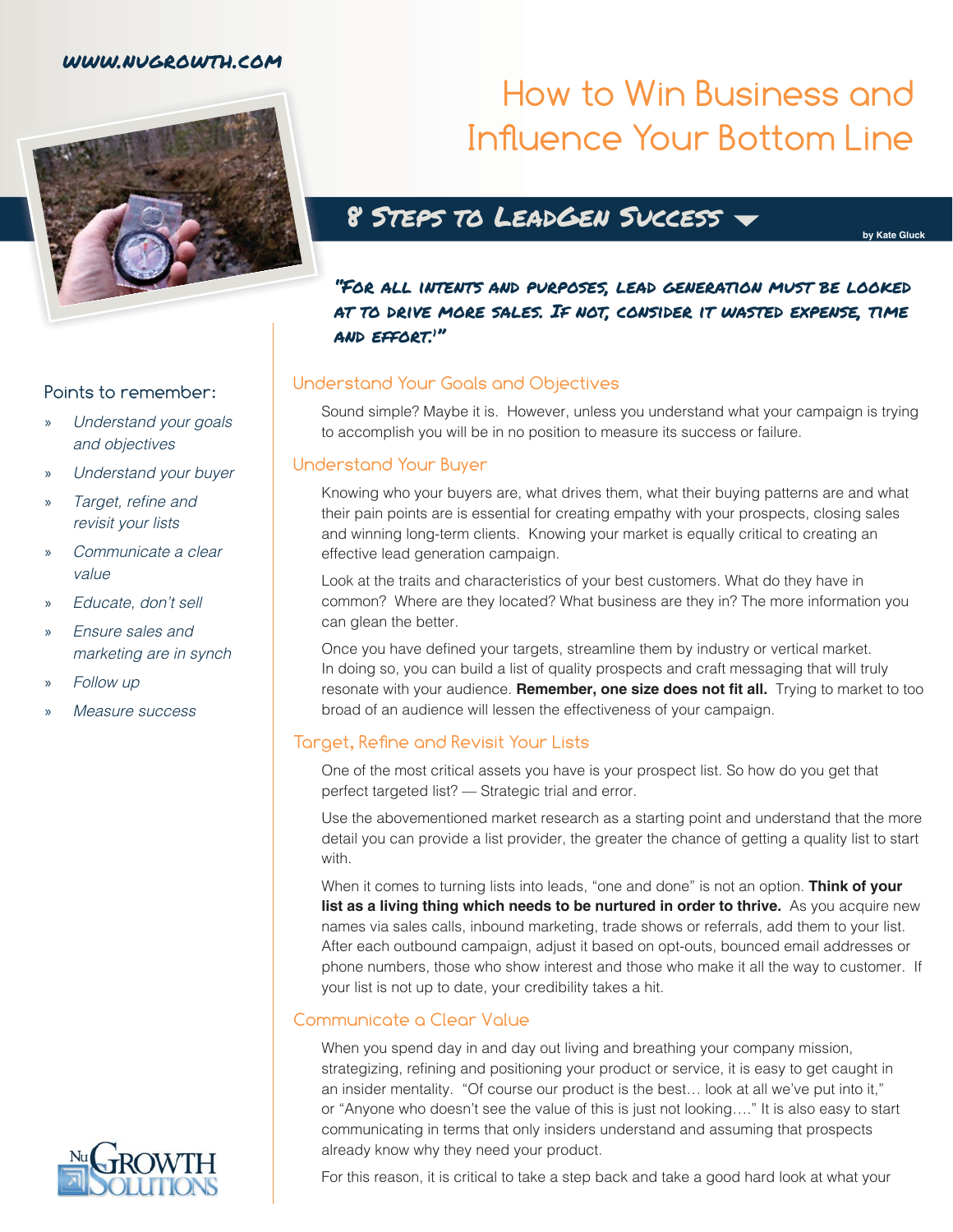### www.nugrowth.com



### Points to remember:

- » *Understand your goals and objectives*
- » *Understand your buyer*
- » Target, refine and *revisit your lists*
- » *Communicate a clear value*
- » *Educate, don't sell*
- » *Ensure sales and marketing are in synch*
- » *Follow up*
- » *Measure success*

# How to Win Business and Influence Your Bottom Line

### 8 Steps to LeadGen Success

**by Kate Gluck**

"For all intents and purposes, lead generation must be looked at to drive more sales. If not, consider it wasted expense, time and effort.1 "

### Understand Your Goals and Objectives

Sound simple? Maybe it is. However, unless you understand what your campaign is trying to accomplish you will be in no position to measure its success or failure.

### Understand Your Buyer

Knowing who your buyers are, what drives them, what their buying patterns are and what their pain points are is essential for creating empathy with your prospects, closing sales and winning long-term clients. Knowing your market is equally critical to creating an effective lead generation campaign.

Look at the traits and characteristics of your best customers. What do they have in common? Where are they located? What business are they in? The more information you can glean the better.

Once you have defined your targets, streamline them by industry or vertical market. In doing so, you can build a list of quality prospects and craft messaging that will truly resonate with your audience. **Remember, one size does not fit all.** Trying to market to too broad of an audience will lessen the effectiveness of your campaign.

### Target, Refine and Revisit Your Lists

One of the most critical assets you have is your prospect list. So how do you get that perfect targeted list? — Strategic trial and error.

Use the abovementioned market research as a starting point and understand that the more detail you can provide a list provider, the greater the chance of getting a quality list to start with.

When it comes to turning lists into leads, "one and done" is not an option. **Think of your list as a living thing which needs to be nurtured in order to thrive.** As you acquire new names via sales calls, inbound marketing, trade shows or referrals, add them to your list. After each outbound campaign, adjust it based on opt-outs, bounced email addresses or phone numbers, those who show interest and those who make it all the way to customer. If your list is not up to date, your credibility takes a hit.

### Communicate a Clear Value

When you spend day in and day out living and breathing your company mission, strategizing, refining and positioning your product or service, it is easy to get caught in an insider mentality. "Of course our product is the best… look at all we've put into it," or "Anyone who doesn't see the value of this is just not looking…." It is also easy to start communicating in terms that only insiders understand and assuming that prospects already know why they need your product.

For this reason, it is critical to take a step back and take a good hard look at what your